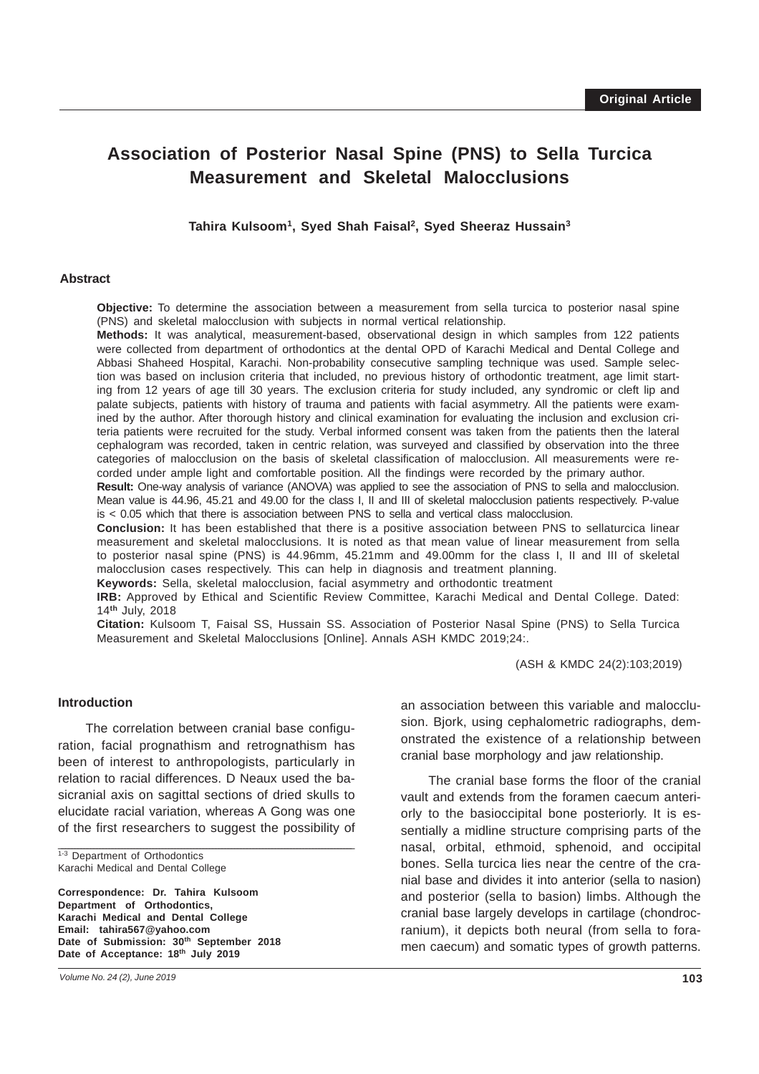# **Association of Posterior Nasal Spine (PNS) to Sella Turcica Measurement and Skeletal Malocclusions**

**Tahira Kulsoom1, Syed Shah Faisal2, Syed Sheeraz Hussain3**

### **Abstract**

**Objective:** To determine the association between a measurement from sella turcica to posterior nasal spine (PNS) and skeletal malocclusion with subjects in normal vertical relationship.

**Methods:** It was analytical, measurement-based, observational design in which samples from 122 patients were collected from department of orthodontics at the dental OPD of Karachi Medical and Dental College and Abbasi Shaheed Hospital, Karachi. Non-probability consecutive sampling technique was used. Sample selection was based on inclusion criteria that included, no previous history of orthodontic treatment, age limit starting from 12 years of age till 30 years. The exclusion criteria for study included, any syndromic or cleft lip and palate subjects, patients with history of trauma and patients with facial asymmetry. All the patients were examined by the author. After thorough history and clinical examination for evaluating the inclusion and exclusion criteria patients were recruited for the study. Verbal informed consent was taken from the patients then the lateral cephalogram was recorded, taken in centric relation, was surveyed and classified by observation into the three categories of malocclusion on the basis of skeletal classification of malocclusion. All measurements were recorded under ample light and comfortable position. All the findings were recorded by the primary author.

**Result:** One-way analysis of variance (ANOVA) was applied to see the association of PNS to sella and malocclusion. Mean value is 44.96, 45.21 and 49.00 for the class I, II and III of skeletal malocclusion patients respectively. P-value is < 0.05 which that there is association between PNS to sella and vertical class malocclusion.

**Conclusion:** It has been established that there is a positive association between PNS to sellaturcica linear measurement and skeletal malocclusions. It is noted as that mean value of linear measurement from sella to posterior nasal spine (PNS) is 44.96mm, 45.21mm and 49.00mm for the class I, II and III of skeletal malocclusion cases respectively. This can help in diagnosis and treatment planning.

**Keywords:** Sella, skeletal malocclusion, facial asymmetry and orthodontic treatment

**IRB:** Approved by Ethical and Scientific Review Committee, Karachi Medical and Dental College. Dated: 14**th** July, 2018

**Citation:** Kulsoom T, Faisal SS, Hussain SS. Association of Posterior Nasal Spine (PNS) to Sella Turcica Measurement and Skeletal Malocclusions [Online]. Annals ASH KMDC 2019;24:.

(ASH & KMDC 24(2):103;2019)

## **Introduction**

The correlation between cranial base configuration, facial prognathism and retrognathism has been of interest to anthropologists, particularly in relation to racial differences. D Neaux used the basicranial axis on sagittal sections of dried skulls to elucidate racial variation, whereas A Gong was one of the first researchers to suggest the possibility of

\_\_\_\_\_\_\_\_\_\_\_\_\_\_\_\_\_\_\_\_\_\_\_\_\_\_\_\_\_\_\_\_\_\_\_\_\_\_\_\_\_\_\_\_\_\_\_\_\_\_\_\_\_\_\_\_\_\_\_\_\_\_\_\_\_\_\_\_\_\_\_\_\_\_\_\_\_\_\_\_\_\_\_\_\_\_\_\_\_\_\_\_\_\_

1-3 Department of Orthodontics Karachi Medical and Dental College

**Correspondence: Dr. Tahira Kulsoom Department of Orthodontics, Karachi Medical and Dental College Email: tahira567@yahoo.com** Date of Submission: 30<sup>th</sup> September 2018 **Date of Acceptance: 18th July 2019**

an association between this variable and malocclusion. Bjork, using cephalometric radiographs, demonstrated the existence of a relationship between cranial base morphology and jaw relationship.

The cranial base forms the floor of the cranial vault and extends from the foramen caecum anteriorly to the basioccipital bone posteriorly. It is essentially a midline structure comprising parts of the nasal, orbital, ethmoid, sphenoid, and occipital bones. Sella turcica lies near the centre of the cranial base and divides it into anterior (sella to nasion) and posterior (sella to basion) limbs. Although the cranial base largely develops in cartilage (chondrocranium), it depicts both neural (from sella to foramen caecum) and somatic types of growth patterns.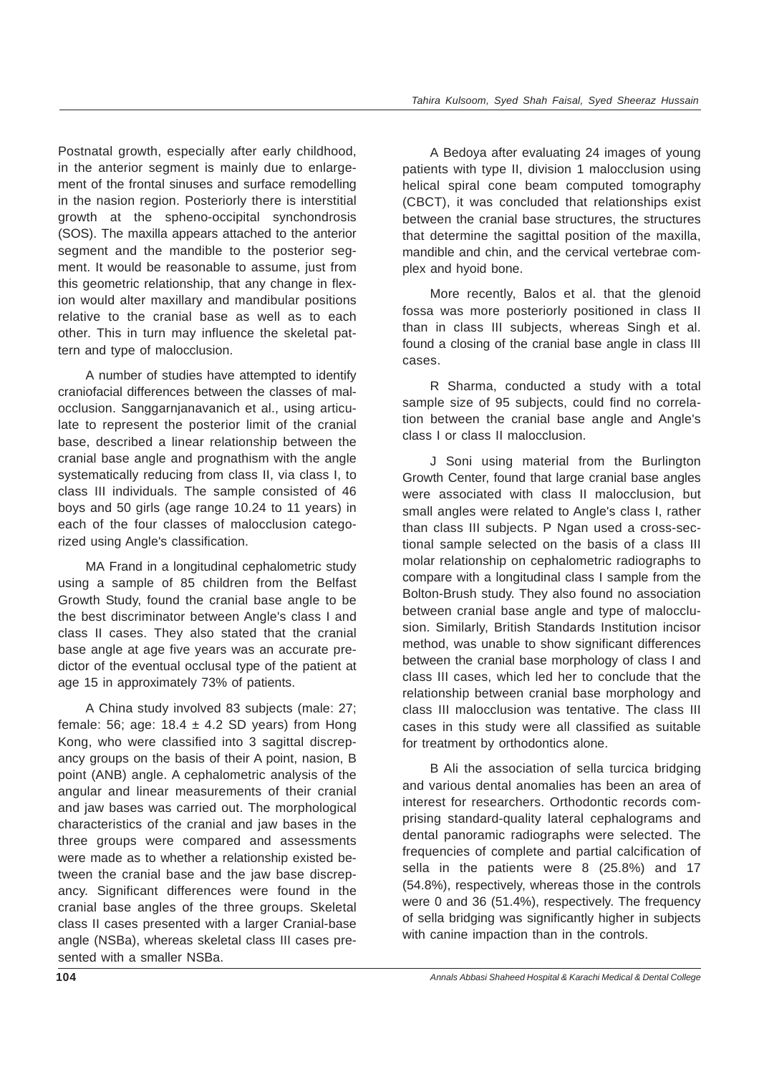Postnatal growth, especially after early childhood, in the anterior segment is mainly due to enlargement of the frontal sinuses and surface remodelling in the nasion region. Posteriorly there is interstitial growth at the spheno-occipital synchondrosis (SOS). The maxilla appears attached to the anterior segment and the mandible to the posterior segment. It would be reasonable to assume, just from this geometric relationship, that any change in flexion would alter maxillary and mandibular positions relative to the cranial base as well as to each other. This in turn may influence the skeletal pattern and type of malocclusion.

A number of studies have attempted to identify craniofacial differences between the classes of malocclusion. Sanggarnjanavanich et al., using articulate to represent the posterior limit of the cranial base, described a linear relationship between the cranial base angle and prognathism with the angle systematically reducing from class II, via class I, to class III individuals. The sample consisted of 46 boys and 50 girls (age range 10.24 to 11 years) in each of the four classes of malocclusion categorized using Angle's classification.

MA Frand in a longitudinal cephalometric study using a sample of 85 children from the Belfast Growth Study, found the cranial base angle to be the best discriminator between Angle's class I and class II cases. They also stated that the cranial base angle at age five years was an accurate predictor of the eventual occlusal type of the patient at age 15 in approximately 73% of patients.

A China study involved 83 subjects (male: 27; female: 56; age:  $18.4 \pm 4.2$  SD years) from Hong Kong, who were classified into 3 sagittal discrepancy groups on the basis of their A point, nasion, B point (ANB) angle. A cephalometric analysis of the angular and linear measurements of their cranial and jaw bases was carried out. The morphological characteristics of the cranial and jaw bases in the three groups were compared and assessments were made as to whether a relationship existed between the cranial base and the jaw base discrepancy. Significant differences were found in the cranial base angles of the three groups. Skeletal class II cases presented with a larger Cranial-base angle (NSBa), whereas skeletal class III cases presented with a smaller NSBa.

A Bedoya after evaluating 24 images of young patients with type II, division 1 malocclusion using helical spiral cone beam computed tomography (CBCT), it was concluded that relationships exist between the cranial base structures, the structures that determine the sagittal position of the maxilla, mandible and chin, and the cervical vertebrae complex and hyoid bone.

More recently, Balos et al. that the glenoid fossa was more posteriorly positioned in class II than in class III subjects, whereas Singh et al. found a closing of the cranial base angle in class III cases.

R Sharma, conducted a study with a total sample size of 95 subjects, could find no correlation between the cranial base angle and Angle's class I or class II malocclusion.

J Soni using material from the Burlington Growth Center, found that large cranial base angles were associated with class II malocclusion, but small angles were related to Angle's class I, rather than class III subjects. P Ngan used a cross-sectional sample selected on the basis of a class III molar relationship on cephalometric radiographs to compare with a longitudinal class I sample from the Bolton-Brush study. They also found no association between cranial base angle and type of malocclusion. Similarly, British Standards Institution incisor method, was unable to show significant differences between the cranial base morphology of class I and class III cases, which led her to conclude that the relationship between cranial base morphology and class III malocclusion was tentative. The class III cases in this study were all classified as suitable for treatment by orthodontics alone.

B Ali the association of sella turcica bridging and various dental anomalies has been an area of interest for researchers. Orthodontic records comprising standard-quality lateral cephalograms and dental panoramic radiographs were selected. The frequencies of complete and partial calcification of sella in the patients were 8 (25.8%) and 17 (54.8%), respectively, whereas those in the controls were 0 and 36 (51.4%), respectively. The frequency of sella bridging was significantly higher in subjects with canine impaction than in the controls.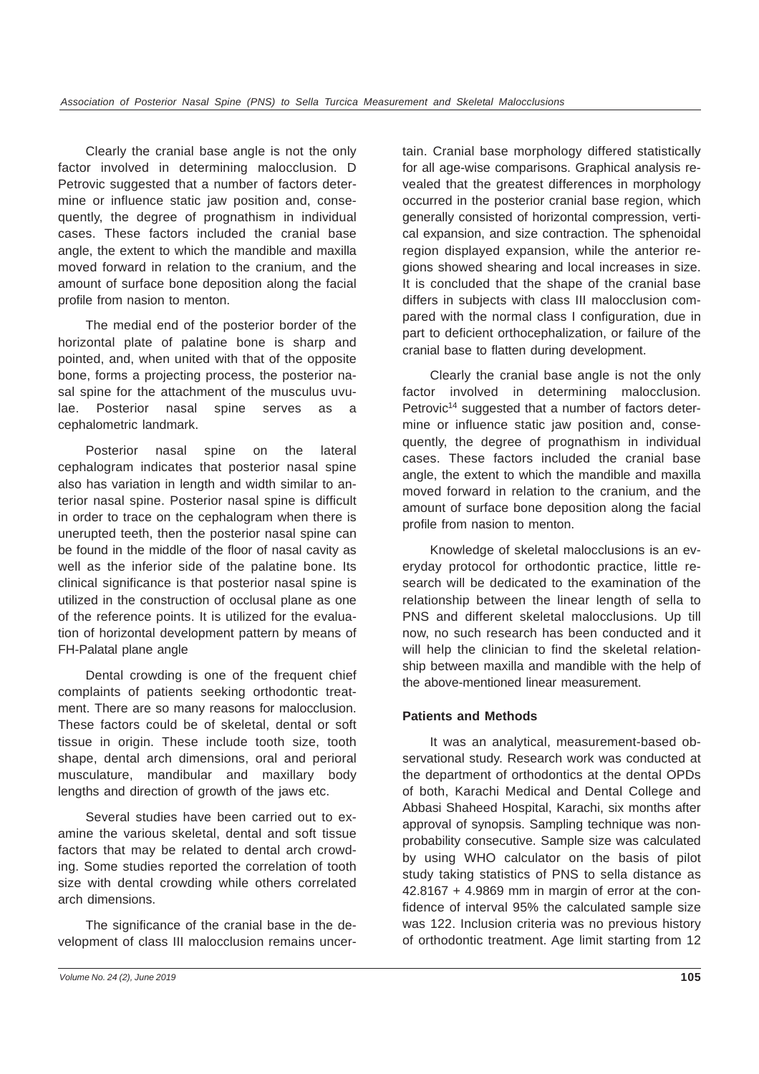Clearly the cranial base angle is not the only factor involved in determining malocclusion. D Petrovic suggested that a number of factors determine or influence static jaw position and, consequently, the degree of prognathism in individual cases. These factors included the cranial base angle, the extent to which the mandible and maxilla moved forward in relation to the cranium, and the amount of surface bone deposition along the facial profile from nasion to menton.

The medial end of the posterior border of the horizontal plate of palatine bone is sharp and pointed, and, when united with that of the opposite bone, forms a projecting process, the posterior nasal spine for the attachment of the musculus uvulae. Posterior nasal spine serves as a cephalometric landmark.

Posterior nasal spine on the lateral cephalogram indicates that posterior nasal spine also has variation in length and width similar to anterior nasal spine. Posterior nasal spine is difficult in order to trace on the cephalogram when there is unerupted teeth, then the posterior nasal spine can be found in the middle of the floor of nasal cavity as well as the inferior side of the palatine bone. Its clinical significance is that posterior nasal spine is utilized in the construction of occlusal plane as one of the reference points. It is utilized for the evaluation of horizontal development pattern by means of FH-Palatal plane angle

Dental crowding is one of the frequent chief complaints of patients seeking orthodontic treatment. There are so many reasons for malocclusion. These factors could be of skeletal, dental or soft tissue in origin. These include tooth size, tooth shape, dental arch dimensions, oral and perioral musculature, mandibular and maxillary body lengths and direction of growth of the jaws etc.

Several studies have been carried out to examine the various skeletal, dental and soft tissue factors that may be related to dental arch crowding. Some studies reported the correlation of tooth size with dental crowding while others correlated arch dimensions.

The significance of the cranial base in the development of class III malocclusion remains uncertain. Cranial base morphology differed statistically for all age-wise comparisons. Graphical analysis revealed that the greatest differences in morphology occurred in the posterior cranial base region, which generally consisted of horizontal compression, vertical expansion, and size contraction. The sphenoidal region displayed expansion, while the anterior regions showed shearing and local increases in size. It is concluded that the shape of the cranial base differs in subjects with class III malocclusion compared with the normal class I configuration, due in part to deficient orthocephalization, or failure of the cranial base to flatten during development.

Clearly the cranial base angle is not the only factor involved in determining malocclusion. Petrovic<sup>14</sup> suggested that a number of factors determine or influence static jaw position and, consequently, the degree of prognathism in individual cases. These factors included the cranial base angle, the extent to which the mandible and maxilla moved forward in relation to the cranium, and the amount of surface bone deposition along the facial profile from nasion to menton.

Knowledge of skeletal malocclusions is an everyday protocol for orthodontic practice, little research will be dedicated to the examination of the relationship between the linear length of sella to PNS and different skeletal malocclusions. Up till now, no such research has been conducted and it will help the clinician to find the skeletal relationship between maxilla and mandible with the help of the above-mentioned linear measurement.

# **Patients and Methods**

It was an analytical, measurement-based observational study. Research work was conducted at the department of orthodontics at the dental OPDs of both, Karachi Medical and Dental College and Abbasi Shaheed Hospital, Karachi, six months after approval of synopsis. Sampling technique was nonprobability consecutive. Sample size was calculated by using WHO calculator on the basis of pilot study taking statistics of PNS to sella distance as 42.8167 + 4.9869 mm in margin of error at the confidence of interval 95% the calculated sample size was 122. Inclusion criteria was no previous history of orthodontic treatment. Age limit starting from 12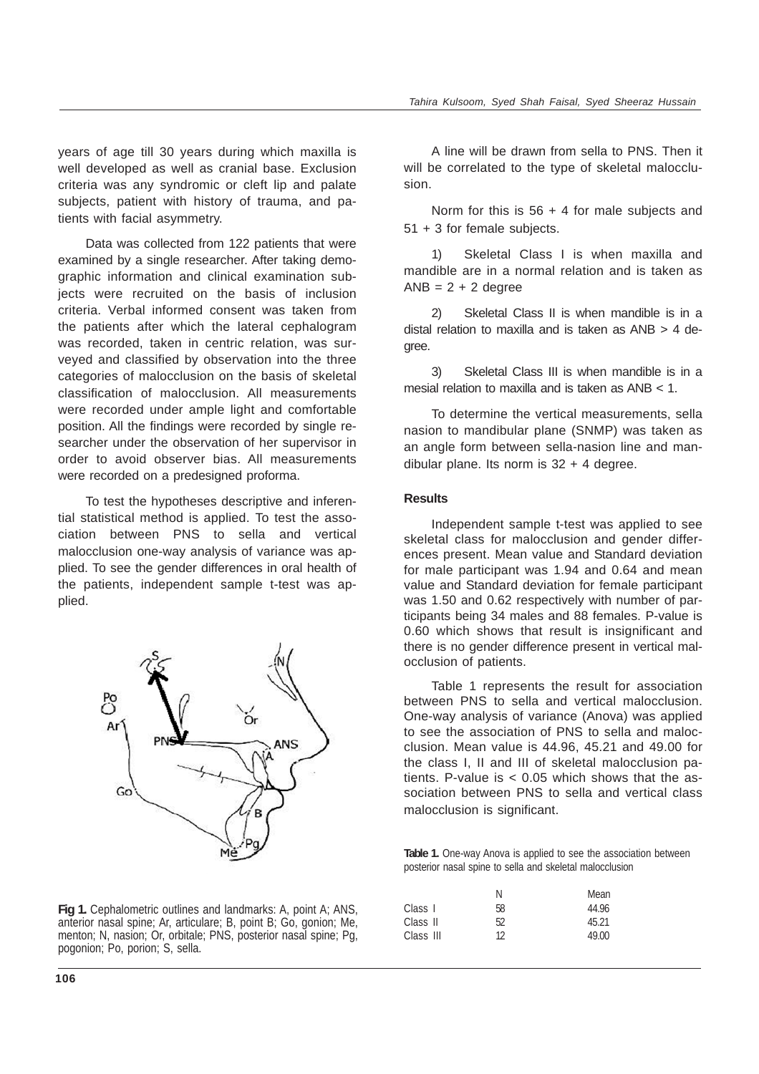years of age till 30 years during which maxilla is well developed as well as cranial base. Exclusion criteria was any syndromic or cleft lip and palate subjects, patient with history of trauma, and patients with facial asymmetry.

Data was collected from 122 patients that were examined by a single researcher. After taking demographic information and clinical examination subjects were recruited on the basis of inclusion criteria. Verbal informed consent was taken from the patients after which the lateral cephalogram was recorded, taken in centric relation, was surveyed and classified by observation into the three categories of malocclusion on the basis of skeletal classification of malocclusion. All measurements were recorded under ample light and comfortable position. All the findings were recorded by single researcher under the observation of her supervisor in order to avoid observer bias. All measurements were recorded on a predesigned proforma.

To test the hypotheses descriptive and inferential statistical method is applied. To test the association between PNS to sella and vertical malocclusion one-way analysis of variance was applied. To see the gender differences in oral health of the patients, independent sample t-test was applied.



**Fig 1.** Cephalometric outlines and landmarks: A, point A; ANS, anterior nasal spine; Ar, articulare; B, point B; Go, gonion; Me, menton; N, nasion; Or, orbitale; PNS, posterior nasal spine; Pg, pogonion; Po, porion; S, sella.

A line will be drawn from sella to PNS. Then it will be correlated to the type of skeletal malocclusion.

Norm for this is  $56 + 4$  for male subjects and 51 + 3 for female subjects.

1) Skeletal Class I is when maxilla and mandible are in a normal relation and is taken as  $ANB = 2 + 2$  degree

2) Skeletal Class II is when mandible is in a distal relation to maxilla and is taken as ANB > 4 degree.

3) Skeletal Class III is when mandible is in a mesial relation to maxilla and is taken as ANB < 1.

To determine the vertical measurements, sella nasion to mandibular plane (SNMP) was taken as an angle form between sella-nasion line and mandibular plane. Its norm is  $32 + 4$  degree.

## **Results**

Independent sample t-test was applied to see skeletal class for malocclusion and gender differences present. Mean value and Standard deviation for male participant was 1.94 and 0.64 and mean value and Standard deviation for female participant was 1.50 and 0.62 respectively with number of participants being 34 males and 88 females. P-value is 0.60 which shows that result is insignificant and there is no gender difference present in vertical malocclusion of patients.

Table 1 represents the result for association between PNS to sella and vertical malocclusion. One-way analysis of variance (Anova) was applied to see the association of PNS to sella and malocclusion. Mean value is 44.96, 45.21 and 49.00 for the class I, II and III of skeletal malocclusion patients. P-value is  $< 0.05$  which shows that the association between PNS to sella and vertical class malocclusion is significant.

**Table 1.** One-way Anova is applied to see the association between posterior nasal spine to sella and skeletal malocclusion

|           | N  | Mean  |
|-----------|----|-------|
| Class 1   | 58 | 44.96 |
| Class II  | 52 | 45.21 |
| Class III | 12 | 49.00 |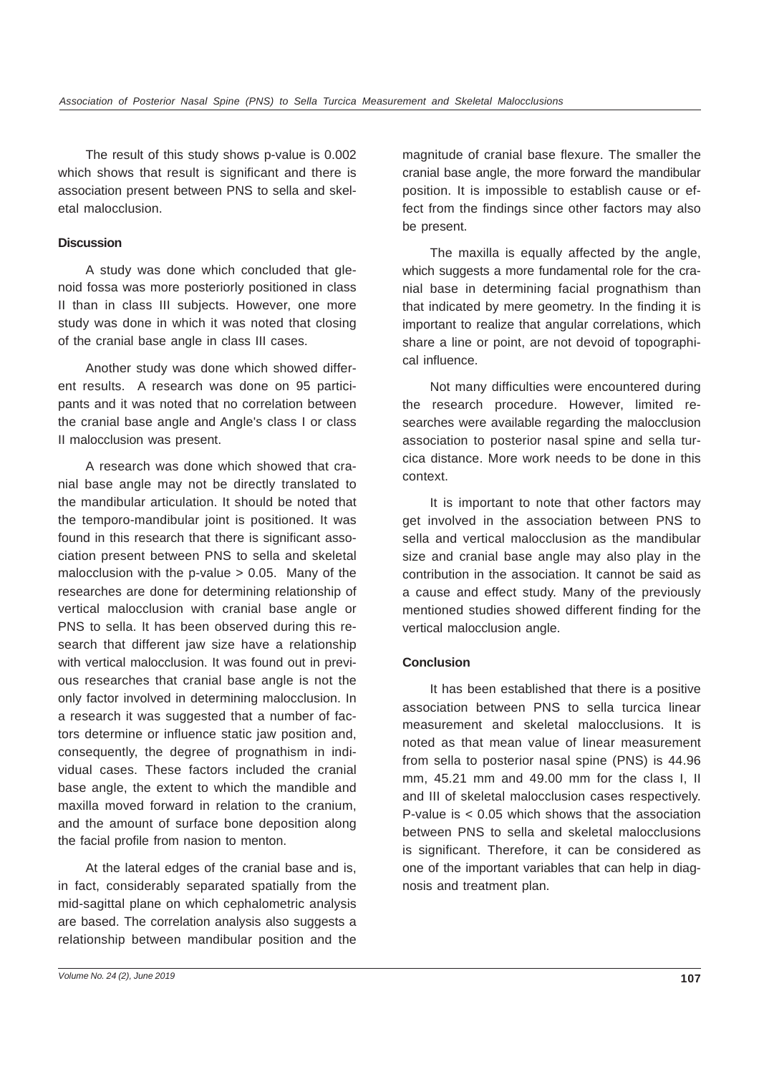The result of this study shows p-value is 0.002 which shows that result is significant and there is association present between PNS to sella and skeletal malocclusion.

## **Discussion**

A study was done which concluded that glenoid fossa was more posteriorly positioned in class II than in class III subjects. However, one more study was done in which it was noted that closing of the cranial base angle in class III cases.

Another study was done which showed different results. A research was done on 95 participants and it was noted that no correlation between the cranial base angle and Angle's class I or class II malocclusion was present.

A research was done which showed that cranial base angle may not be directly translated to the mandibular articulation. It should be noted that the temporo-mandibular joint is positioned. It was found in this research that there is significant association present between PNS to sella and skeletal malocclusion with the p-value  $> 0.05$ . Many of the researches are done for determining relationship of vertical malocclusion with cranial base angle or PNS to sella. It has been observed during this research that different jaw size have a relationship with vertical malocclusion. It was found out in previous researches that cranial base angle is not the only factor involved in determining malocclusion. In a research it was suggested that a number of factors determine or influence static jaw position and, consequently, the degree of prognathism in individual cases. These factors included the cranial base angle, the extent to which the mandible and maxilla moved forward in relation to the cranium, and the amount of surface bone deposition along the facial profile from nasion to menton.

At the lateral edges of the cranial base and is, in fact, considerably separated spatially from the mid-sagittal plane on which cephalometric analysis are based. The correlation analysis also suggests a relationship between mandibular position and the

magnitude of cranial base flexure. The smaller the cranial base angle, the more forward the mandibular position. It is impossible to establish cause or effect from the findings since other factors may also be present.

The maxilla is equally affected by the angle, which suggests a more fundamental role for the cranial base in determining facial prognathism than that indicated by mere geometry. In the finding it is important to realize that angular correlations, which share a line or point, are not devoid of topographical influence.

Not many difficulties were encountered during the research procedure. However, limited researches were available regarding the malocclusion association to posterior nasal spine and sella turcica distance. More work needs to be done in this context.

It is important to note that other factors may get involved in the association between PNS to sella and vertical malocclusion as the mandibular size and cranial base angle may also play in the contribution in the association. It cannot be said as a cause and effect study. Many of the previously mentioned studies showed different finding for the vertical malocclusion angle.

# **Conclusion**

It has been established that there is a positive association between PNS to sella turcica linear measurement and skeletal malocclusions. It is noted as that mean value of linear measurement from sella to posterior nasal spine (PNS) is 44.96 mm, 45.21 mm and 49.00 mm for the class I, II and III of skeletal malocclusion cases respectively. P-value is < 0.05 which shows that the association between PNS to sella and skeletal malocclusions is significant. Therefore, it can be considered as one of the important variables that can help in diagnosis and treatment plan.